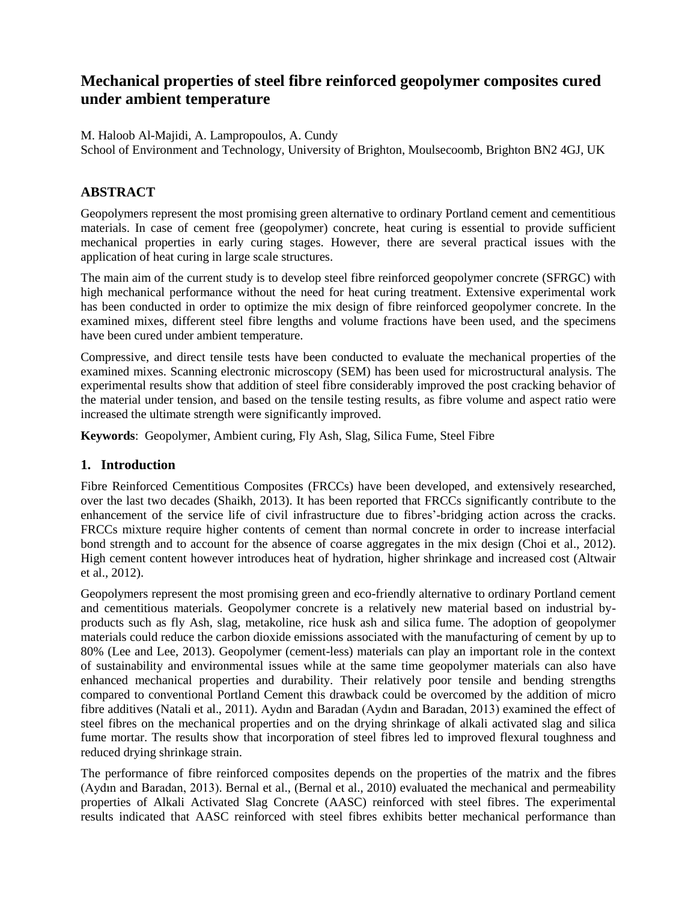# **Mechanical properties of steel fibre reinforced geopolymer composites cured under ambient temperature**

M. Haloob Al-Majidi, A. Lampropoulos, A. Cundy

School of Environment and Technology, University of Brighton, Moulsecoomb, Brighton BN2 4GJ, UK

### **ABSTRACT**

Geopolymers represent the most promising green alternative to ordinary Portland cement and cementitious materials. In case of cement free (geopolymer) concrete, heat curing is essential to provide sufficient mechanical properties in early curing stages. However, there are several practical issues with the application of heat curing in large scale structures.

The main aim of the current study is to develop steel fibre reinforced geopolymer concrete (SFRGC) with high mechanical performance without the need for heat curing treatment. Extensive experimental work has been conducted in order to optimize the mix design of fibre reinforced geopolymer concrete. In the examined mixes, different steel fibre lengths and volume fractions have been used, and the specimens have been cured under ambient temperature.

Compressive, and direct tensile tests have been conducted to evaluate the mechanical properties of the examined mixes. Scanning electronic microscopy (SEM) has been used for microstructural analysis. The experimental results show that addition of steel fibre considerably improved the post cracking behavior of the material under tension, and based on the tensile testing results, as fibre volume and aspect ratio were increased the ultimate strength were significantly improved.

**Keywords**: Geopolymer, Ambient curing, Fly Ash, Slag, Silica Fume, Steel Fibre

#### **1. Introduction**

Fibre Reinforced Cementitious Composites (FRCCs) have been developed, and extensively researched, over the last two decades (Shaikh, 2013). It has been reported that FRCCs significantly contribute to the enhancement of the service life of civil infrastructure due to fibres'-bridging action across the cracks. FRCCs mixture require higher contents of cement than normal concrete in order to increase interfacial bond strength and to account for the absence of coarse aggregates in the mix design (Choi et al., 2012). High cement content however introduces heat of hydration, higher shrinkage and increased cost (Altwair et al., 2012).

Geopolymers represent the most promising green and eco-friendly alternative to ordinary Portland cement and cementitious materials. Geopolymer concrete is a relatively new material based on industrial byproducts such as fly Ash, slag, metakoline, rice husk ash and silica fume. The adoption of geopolymer materials could reduce the carbon dioxide emissions associated with the manufacturing of cement by up to 80% (Lee and Lee, 2013). Geopolymer (cement-less) materials can play an important role in the context of sustainability and environmental issues while at the same time geopolymer materials can also have enhanced mechanical properties and durability. Their relatively poor tensile and bending strengths compared to conventional Portland Cement this drawback could be overcomed by the addition of micro fibre additives (Natali et al., 2011). Aydın and Baradan (Aydın and Baradan, 2013) examined the effect of steel fibres on the mechanical properties and on the drying shrinkage of alkali activated slag and silica fume mortar. The results show that incorporation of steel fibres led to improved flexural toughness and reduced drying shrinkage strain.

The performance of fibre reinforced composites depends on the properties of the matrix and the fibres (Aydın and Baradan, 2013). Bernal et al., (Bernal et al., 2010) evaluated the mechanical and permeability properties of Alkali Activated Slag Concrete (AASC) reinforced with steel fibres. The experimental results indicated that AASC reinforced with steel fibres exhibits better mechanical performance than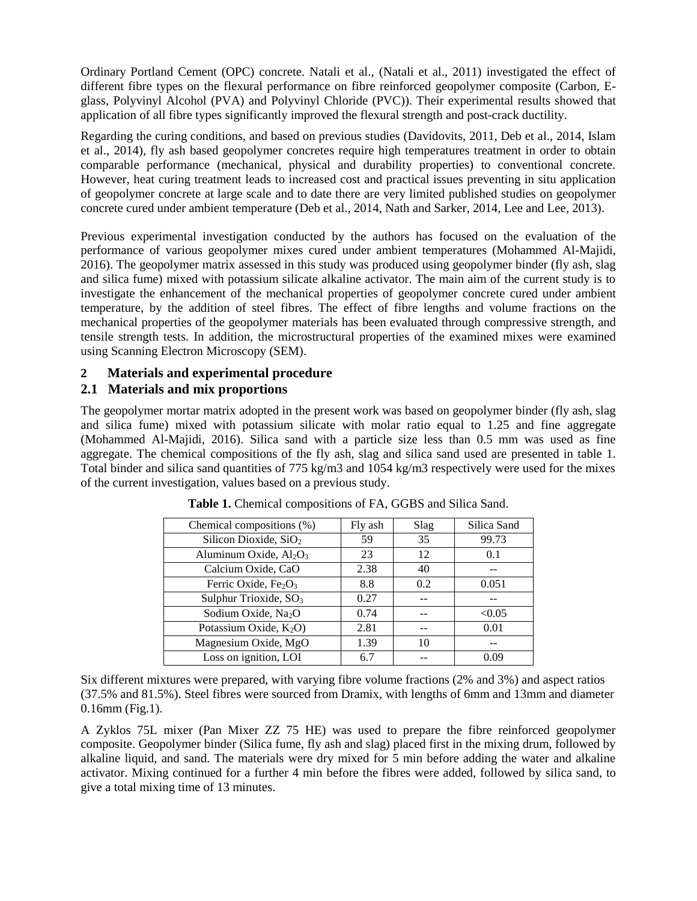Ordinary Portland Cement (OPC) concrete. Natali et al., (Natali et al., 2011) investigated the effect of different fibre types on the flexural performance on fibre reinforced geopolymer composite (Carbon, Eglass, Polyvinyl Alcohol (PVA) and Polyvinyl Chloride (PVC)). Their experimental results showed that application of all fibre types significantly improved the flexural strength and post-crack ductility.

Regarding the curing conditions, and based on previous studies (Davidovits, 2011, Deb et al., 2014, Islam et al., 2014), fly ash based geopolymer concretes require high temperatures treatment in order to obtain comparable performance (mechanical, physical and durability properties) to conventional concrete. However, heat curing treatment leads to increased cost and practical issues preventing in situ application of geopolymer concrete at large scale and to date there are very limited published studies on geopolymer concrete cured under ambient temperature (Deb et al., 2014, Nath and Sarker, 2014, Lee and Lee, 2013).

Previous experimental investigation conducted by the authors has focused on the evaluation of the performance of various geopolymer mixes cured under ambient temperatures (Mohammed Al-Majidi, 2016). The geopolymer matrix assessed in this study was produced using geopolymer binder (fly ash, slag and silica fume) mixed with potassium silicate alkaline activator. The main aim of the current study is to investigate the enhancement of the mechanical properties of geopolymer concrete cured under ambient temperature, by the addition of steel fibres. The effect of fibre lengths and volume fractions on the mechanical properties of the geopolymer materials has been evaluated through compressive strength, and tensile strength tests. In addition, the microstructural properties of the examined mixes were examined using Scanning Electron Microscopy (SEM).

### **2 Materials and experimental procedure**

### **2.1 Materials and mix proportions**

The geopolymer mortar matrix adopted in the present work was based on geopolymer binder (fly ash, slag and silica fume) mixed with potassium silicate with molar ratio equal to 1.25 and fine aggregate (Mohammed Al-Majidi, 2016). Silica sand with a particle size less than 0.5 mm was used as fine aggregate. The chemical compositions of the fly ash, slag and silica sand used are presented in table 1. Total binder and silica sand quantities of 775 kg/m3 and 1054 kg/m3 respectively were used for the mixes of the current investigation, values based on a previous study.

| Chemical compositions (%)         | Fly ash | Slag | Silica Sand |
|-----------------------------------|---------|------|-------------|
| Silicon Dioxide, SiO <sub>2</sub> | 59      | 35   | 99.73       |
| Aluminum Oxide, $Al_2O_3$         | 23      | 12   | 0.1         |
| Calcium Oxide, CaO                | 2.38    | 40   |             |
| Ferric Oxide, $Fe2O3$             | 8.8     | 0.2  | 0.051       |
| Sulphur Trioxide, SO <sub>3</sub> | 0.27    |      |             |
| Sodium Oxide, Na <sub>2</sub> O   | 0.74    |      | < 0.05      |
| Potassium Oxide, $K_2O$           | 2.81    |      | 0.01        |
| Magnesium Oxide, MgO              | 1.39    | 10   |             |
| Loss on ignition, LOI             | 6.7     |      | 0.09        |

**Table 1.** Chemical compositions of FA, GGBS and Silica Sand.

Six different mixtures were prepared, with varying fibre volume fractions (2% and 3%) and aspect ratios (37.5% and 81.5%). Steel fibres were sourced from Dramix, with lengths of 6mm and 13mm and diameter 0.16mm (Fig.1).

A Zyklos 75L mixer (Pan Mixer ZZ 75 HE) was used to prepare the fibre reinforced geopolymer composite. Geopolymer binder (Silica fume, fly ash and slag) placed first in the mixing drum, followed by alkaline liquid, and sand. The materials were dry mixed for 5 min before adding the water and alkaline activator. Mixing continued for a further 4 min before the fibres were added, followed by silica sand, to give a total mixing time of 13 minutes.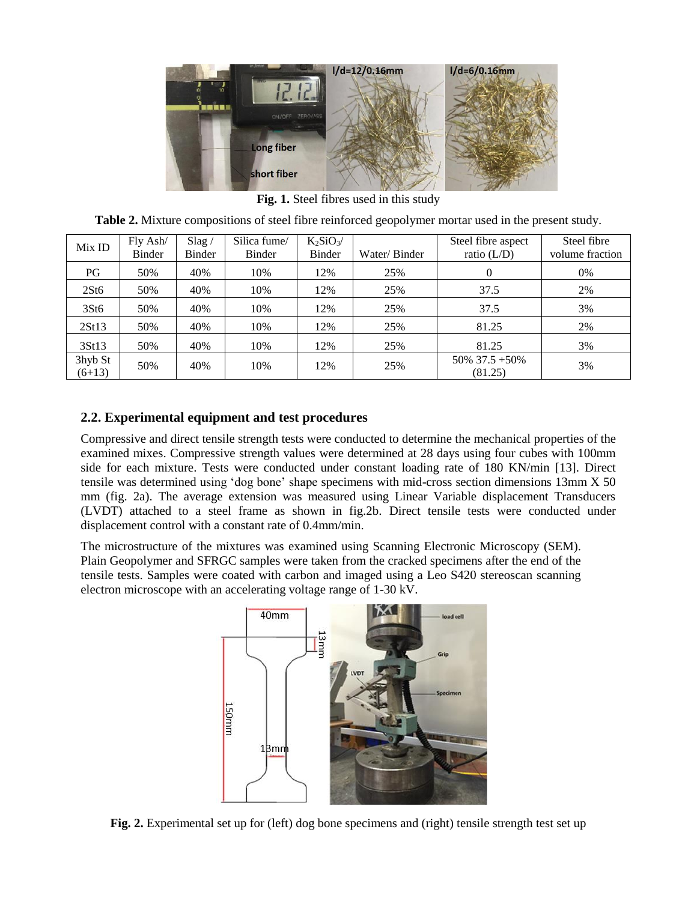

**Fig. 1.** Steel fibres used in this study

|  |  |  |                                                                                                                 | <b>Table 2.</b> Mixture compositions of steel fibre reinforced geopolymer mortar used in the present study. |  |
|--|--|--|-----------------------------------------------------------------------------------------------------------------|-------------------------------------------------------------------------------------------------------------|--|
|  |  |  | the contract of the contract of the contract of the contract of the contract of the contract of the contract of |                                                                                                             |  |

| Mix ID              | Fly Ash/<br>Binder | Slag/<br>Binder | Silica fume/<br>Binder | $K_2SiO_3/$<br><b>Binder</b> | Water/Binder | Steel fibre aspect<br>ratio $(L/D)$ | Steel fibre<br>volume fraction |
|---------------------|--------------------|-----------------|------------------------|------------------------------|--------------|-------------------------------------|--------------------------------|
| PG                  | 50%                | 40%             | 10%                    | 12%                          | 25%          | 0                                   | 0%                             |
| 2St6                | 50%                | 40%             | 10%                    | 12%                          | 25%          | 37.5                                | 2%                             |
| 3St6                | 50%                | 40%             | 10%                    | 12%                          | 25%          | 37.5                                | 3%                             |
| 2St13               | 50%                | 40%             | 10%                    | 12%                          | 25%          | 81.25                               | 2%                             |
| 3St13               | 50%                | 40%             | 10%                    | 12%                          | 25%          | 81.25                               | 3%                             |
| 3hyb St<br>$(6+13)$ | 50%                | 40%             | 10%                    | 12%                          | 25%          | $50\%$ 37.5 +50%<br>(81.25)         | 3%                             |

## **2.2. Experimental equipment and test procedures**

Compressive and direct tensile strength tests were conducted to determine the mechanical properties of the examined mixes. Compressive strength values were determined at 28 days using four cubes with 100mm side for each mixture. Tests were conducted under constant loading rate of 180 KN/min [13]. Direct tensile was determined using 'dog bone' shape specimens with mid-cross section dimensions 13mm X 50 mm (fig. 2a). The average extension was measured using Linear Variable displacement Transducers (LVDT) attached to a steel frame as shown in fig.2b. Direct tensile tests were conducted under displacement control with a constant rate of 0.4mm/min.

The microstructure of the mixtures was examined using Scanning Electronic Microscopy (SEM). Plain Geopolymer and SFRGC samples were taken from the cracked specimens after the end of the tensile tests. Samples were coated with carbon and imaged using a Leo S420 stereoscan scanning electron microscope with an accelerating voltage range of 1-30 kV.



**Fig. 2.** Experimental set up for (left) dog bone specimens and (right) tensile strength test set up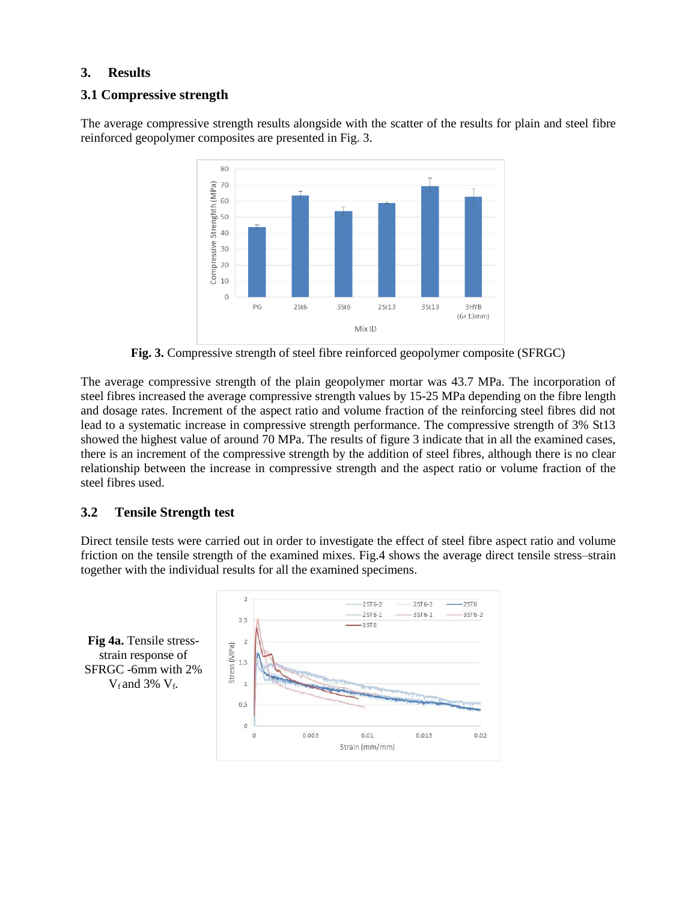### **3. Results**

#### **3.1 Compressive strength**

The average compressive strength results alongside with the scatter of the results for plain and steel fibre reinforced geopolymer composites are presented in Fig. 3.



**Fig. 3.** Compressive strength of steel fibre reinforced geopolymer composite (SFRGC)

The average compressive strength of the plain geopolymer mortar was 43.7 MPa. The incorporation of steel fibres increased the average compressive strength values by 15-25 MPa depending on the fibre length and dosage rates. Increment of the aspect ratio and volume fraction of the reinforcing steel fibres did not lead to a systematic increase in compressive strength performance. The compressive strength of 3% St13 showed the highest value of around 70 MPa. The results of figure 3 indicate that in all the examined cases, there is an increment of the compressive strength by the addition of steel fibres, although there is no clear relationship between the increase in compressive strength and the aspect ratio or volume fraction of the steel fibres used.

### **3.2 Tensile Strength test**

Direct tensile tests were carried out in order to investigate the effect of steel fibre aspect ratio and volume friction on the tensile strength of the examined mixes. Fig.4 shows the average direct tensile stress–strain together with the individual results for all the examined specimens.

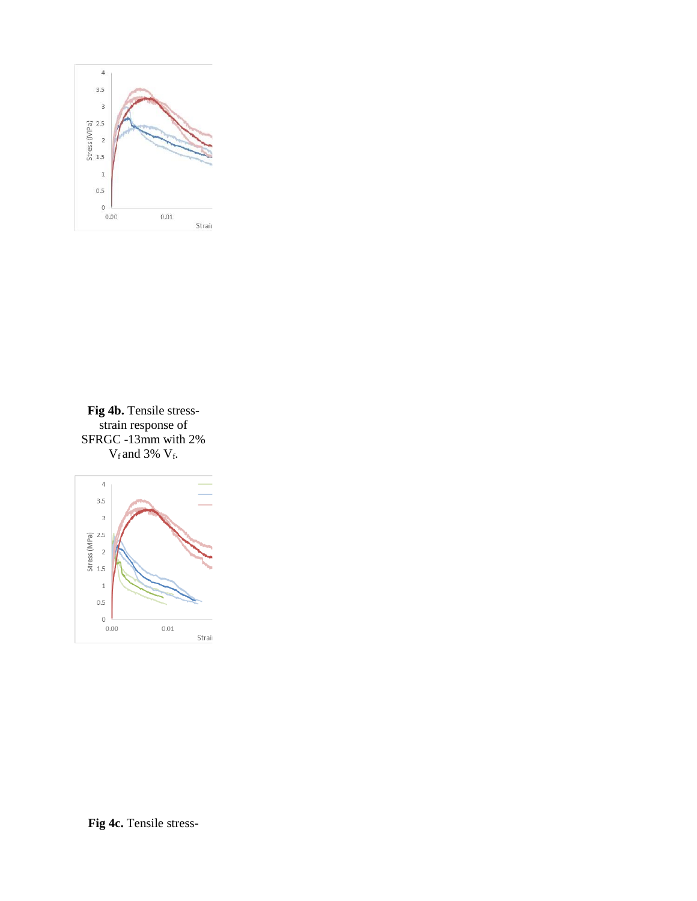

**Fig 4b.** Tensile stressstrain response of SFRGC -13mm with 2%  $V_f$  and 3%  $V_f$ .

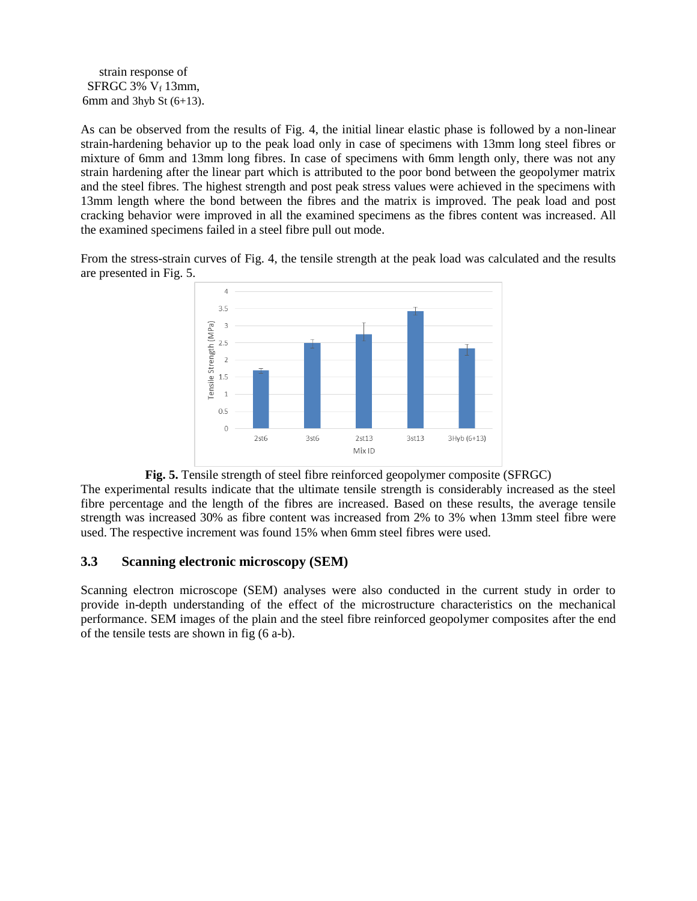strain response of SFRGC 3%  $V_f$  13mm, 6mm and 3hyb St  $(6+13)$ .

As can be observed from the results of Fig. 4, the initial linear elastic phase is followed by a non-linear strain-hardening behavior up to the peak load only in case of specimens with 13mm long steel fibres or mixture of 6mm and 13mm long fibres. In case of specimens with 6mm length only, there was not any strain hardening after the linear part which is attributed to the poor bond between the geopolymer matrix and the steel fibres. The highest strength and post peak stress values were achieved in the specimens with 13mm length where the bond between the fibres and the matrix is improved. The peak load and post cracking behavior were improved in all the examined specimens as the fibres content was increased. All the examined specimens failed in a steel fibre pull out mode.

From the stress-strain curves of Fig. 4, the tensile strength at the peak load was calculated and the results are presented in Fig. 5.



**Fig. 5.** Tensile strength of steel fibre reinforced geopolymer composite (SFRGC)

The experimental results indicate that the ultimate tensile strength is considerably increased as the steel fibre percentage and the length of the fibres are increased. Based on these results, the average tensile strength was increased 30% as fibre content was increased from 2% to 3% when 13mm steel fibre were used. The respective increment was found 15% when 6mm steel fibres were used.

#### **3.3 Scanning electronic microscopy (SEM)**

Scanning electron microscope (SEM) analyses were also conducted in the current study in order to provide in-depth understanding of the effect of the microstructure characteristics on the mechanical performance. SEM images of the plain and the steel fibre reinforced geopolymer composites after the end of the tensile tests are shown in fig (6 a-b).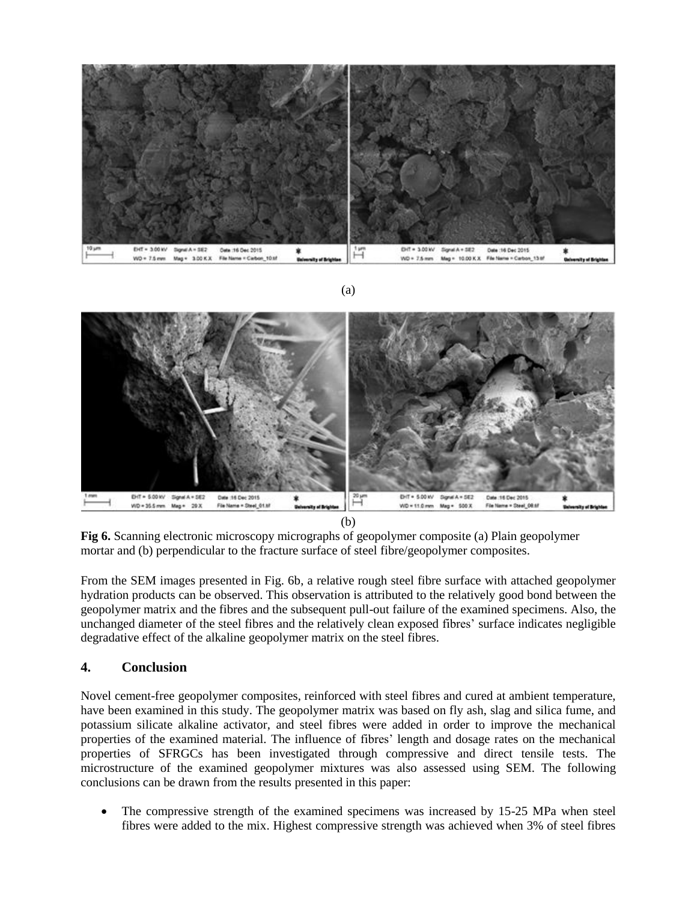





**Fig 6.** Scanning electronic microscopy micrographs of geopolymer composite (a) Plain geopolymer mortar and (b) perpendicular to the fracture surface of steel fibre/geopolymer composites.

From the SEM images presented in Fig. 6b, a relative rough steel fibre surface with attached geopolymer hydration products can be observed. This observation is attributed to the relatively good bond between the geopolymer matrix and the fibres and the subsequent pull-out failure of the examined specimens. Also, the unchanged diameter of the steel fibres and the relatively clean exposed fibres' surface indicates negligible degradative effect of the alkaline geopolymer matrix on the steel fibres.

#### **4. Conclusion**

Novel cement-free geopolymer composites, reinforced with steel fibres and cured at ambient temperature, have been examined in this study. The geopolymer matrix was based on fly ash, slag and silica fume, and potassium silicate alkaline activator, and steel fibres were added in order to improve the mechanical properties of the examined material. The influence of fibres' length and dosage rates on the mechanical properties of SFRGCs has been investigated through compressive and direct tensile tests. The microstructure of the examined geopolymer mixtures was also assessed using SEM. The following conclusions can be drawn from the results presented in this paper:

 The compressive strength of the examined specimens was increased by 15-25 MPa when steel fibres were added to the mix. Highest compressive strength was achieved when 3% of steel fibres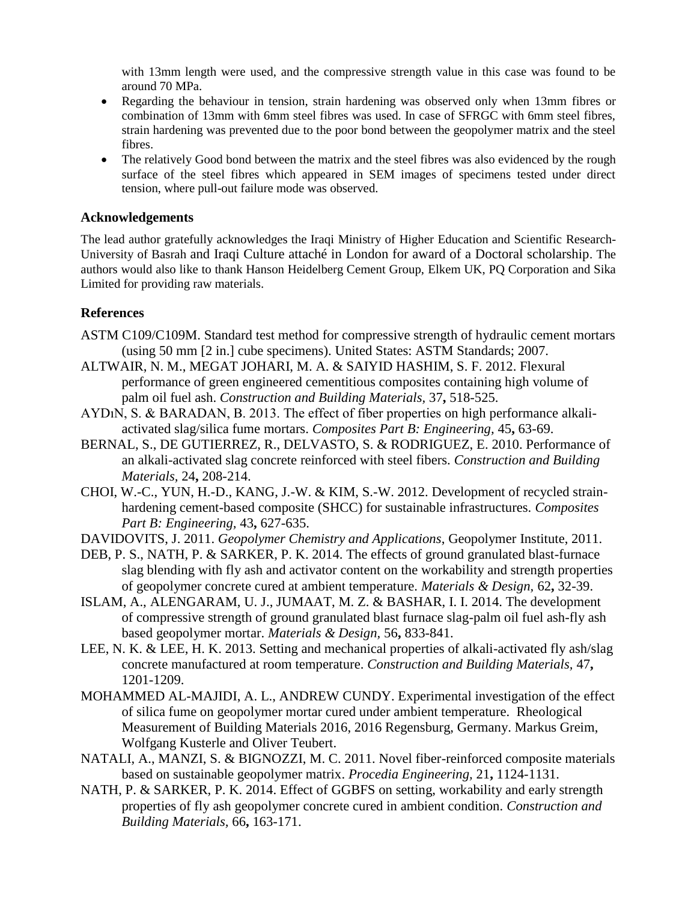with 13mm length were used, and the compressive strength value in this case was found to be around 70 MPa.

- Regarding the behaviour in tension, strain hardening was observed only when 13mm fibres or combination of 13mm with 6mm steel fibres was used. In case of SFRGC with 6mm steel fibres, strain hardening was prevented due to the poor bond between the geopolymer matrix and the steel fibres.
- The relatively Good bond between the matrix and the steel fibres was also evidenced by the rough surface of the steel fibres which appeared in SEM images of specimens tested under direct tension, where pull-out failure mode was observed.

#### **Acknowledgements**

The lead author gratefully acknowledges the Iraqi Ministry of Higher Education and Scientific Research-University of Basrah and Iraqi Culture attaché in London for award of a Doctoral scholarship. The authors would also like to thank Hanson Heidelberg Cement Group, Elkem UK, PQ Corporation and Sika Limited for providing raw materials.

#### **References**

- ASTM C109/C109M. Standard test method for compressive strength of hydraulic cement mortars (using 50 mm [2 in.] cube specimens). United States: ASTM Standards; 2007.
- ALTWAIR, N. M., MEGAT JOHARI, M. A. & SAIYID HASHIM, S. F. 2012. Flexural performance of green engineered cementitious composites containing high volume of palm oil fuel ash. *Construction and Building Materials,* 37**,** 518-525.
- AYDıN, S. & BARADAN, B. 2013. The effect of fiber properties on high performance alkaliactivated slag/silica fume mortars. *Composites Part B: Engineering,* 45**,** 63-69.
- BERNAL, S., DE GUTIERREZ, R., DELVASTO, S. & RODRIGUEZ, E. 2010. Performance of an alkali-activated slag concrete reinforced with steel fibers. *Construction and Building Materials,* 24**,** 208-214.
- CHOI, W.-C., YUN, H.-D., KANG, J.-W. & KIM, S.-W. 2012. Development of recycled strainhardening cement-based composite (SHCC) for sustainable infrastructures. *Composites Part B: Engineering,* 43**,** 627-635.
- DAVIDOVITS, J. 2011. *Geopolymer Chemistry and Applications*, Geopolymer Institute, 2011.
- DEB, P. S., NATH, P. & SARKER, P. K. 2014. The effects of ground granulated blast-furnace slag blending with fly ash and activator content on the workability and strength properties of geopolymer concrete cured at ambient temperature. *Materials & Design,* 62**,** 32-39.
- ISLAM, A., ALENGARAM, U. J., JUMAAT, M. Z. & BASHAR, I. I. 2014. The development of compressive strength of ground granulated blast furnace slag-palm oil fuel ash-fly ash based geopolymer mortar. *Materials & Design,* 56**,** 833-841.
- LEE, N. K. & LEE, H. K. 2013. Setting and mechanical properties of alkali-activated fly ash/slag concrete manufactured at room temperature. *Construction and Building Materials,* 47**,** 1201-1209.
- MOHAMMED AL-MAJIDI, A. L., ANDREW CUNDY. Experimental investigation of the effect of silica fume on geopolymer mortar cured under ambient temperature. Rheological Measurement of Building Materials 2016, 2016 Regensburg, Germany. Markus Greim, Wolfgang Kusterle and Oliver Teubert.
- NATALI, A., MANZI, S. & BIGNOZZI, M. C. 2011. Novel fiber-reinforced composite materials based on sustainable geopolymer matrix. *Procedia Engineering,* 21**,** 1124-1131.
- NATH, P. & SARKER, P. K. 2014. Effect of GGBFS on setting, workability and early strength properties of fly ash geopolymer concrete cured in ambient condition. *Construction and Building Materials,* 66**,** 163-171.